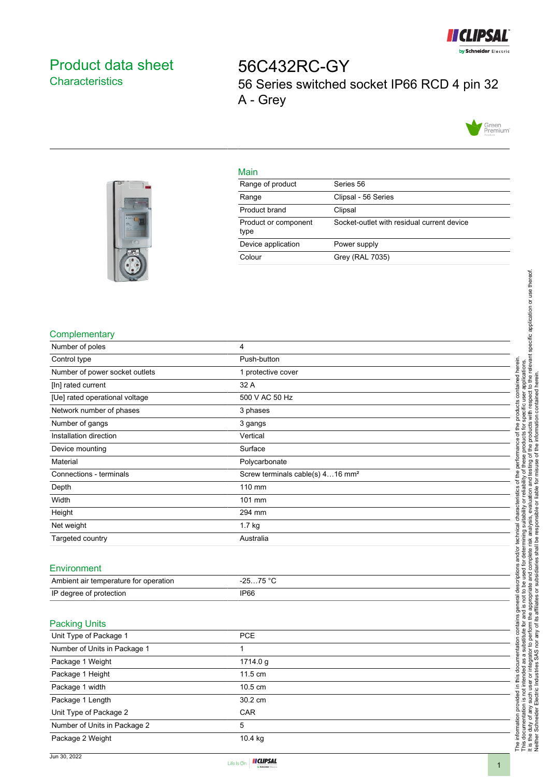

## <span id="page-0-0"></span>Product data sheet **Characteristics**

56C432RC-GY 56 Series switched socket IP66 RCD 4 pin 32 A - Grey





## Main

| Range of product             | Series 56                                  |
|------------------------------|--------------------------------------------|
| Range                        | Clipsal - 56 Series                        |
| Product brand                | Clipsal                                    |
| Product or component<br>type | Socket-outlet with residual current device |
| Device application           | Power supply                               |
| Colour                       | Grey (RAL 7035)                            |

## **Complementary**

| Number of poles                       | $\overline{4}$                               |
|---------------------------------------|----------------------------------------------|
| Control type                          | Push-button                                  |
| Number of power socket outlets        | 1 protective cover                           |
| [In] rated current                    | 32 A                                         |
| [Ue] rated operational voltage        | 500 V AC 50 Hz                               |
| Network number of phases              | 3 phases                                     |
| Number of gangs                       | 3 gangs                                      |
| Installation direction                | Vertical                                     |
| Device mounting                       | Surface                                      |
| Material                              | Polycarbonate                                |
| Connections - terminals               | Screw terminals cable(s) 416 mm <sup>2</sup> |
| Depth                                 | 110 mm                                       |
| Width                                 | 101 mm                                       |
| Height                                | 294 mm                                       |
| Net weight                            | 1.7 kg                                       |
| Targeted country                      | Australia                                    |
|                                       |                                              |
| Environment                           |                                              |
| Ambient air temperature for operation | $-2575 °C$                                   |
| IP degree of protection               | <b>IP66</b>                                  |
|                                       |                                              |
|                                       |                                              |
| <b>Packing Units</b>                  |                                              |
| Unit Type of Package 1                | <b>PCE</b>                                   |
| Number of Units in Package 1          | 1                                            |
| Package 1 Weight                      | 1714.0 g                                     |
| Package 1 Height                      | 11.5 cm                                      |
| Package 1 width                       | 10.5 cm                                      |
| Package 1 Length                      | 30.2 cm                                      |
| Unit Type of Package 2                | CAR                                          |
| Number of Units in Package 2          | 5                                            |
| Package 2 Weight                      | 10.4 kg                                      |